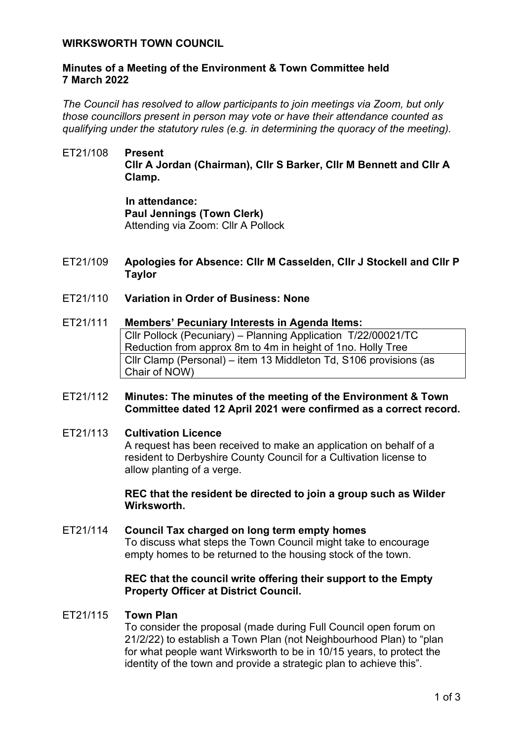### **WIRKSWORTH TOWN COUNCIL**

### **Minutes of a Meeting of the Environment & Town Committee held 7 March 2022**

*The Council has resolved to allow participants to join meetings via Zoom, but only those councillors present in person may vote or have their attendance counted as qualifying under the statutory rules (e.g. in determining the quoracy of the meeting).*

## ET21/108 **Present Cllr A Jordan (Chairman), Cllr S Barker, Cllr M Bennett and Cllr A Clamp.**

**In attendance: Paul Jennings (Town Clerk)** Attending via Zoom: Cllr A Pollock

- ET21/109 **Apologies for Absence: Cllr M Casselden, Cllr J Stockell and Cllr P Taylor**
- ET21/110 **Variation in Order of Business: None**

## ET21/111 **Members' Pecuniary Interests in Agenda Items:**  Cllr Pollock (Pecuniary) – Planning Application T/22/00021/TC Reduction from approx 8m to 4m in height of 1no. Holly Tree Cllr Clamp (Personal) – item 13 Middleton Td, S106 provisions (as Chair of NOW)

### ET21/112 **Minutes: The minutes of the meeting of the Environment & Town Committee dated 12 April 2021 were confirmed as a correct record.**

ET21/113 **Cultivation Licence** A request has been received to make an application on behalf of a resident to Derbyshire County Council for a Cultivation license to allow planting of a verge.

> **REC that the resident be directed to join a group such as Wilder Wirksworth.**

# ET21/114 **Council Tax charged on long term empty homes** To discuss what steps the Town Council might take to encourage empty homes to be returned to the housing stock of the town.

### **REC that the council write offering their support to the Empty Property Officer at District Council.**

#### ET21/115 **Town Plan**

To consider the proposal (made during Full Council open forum on 21/2/22) to establish a Town Plan (not Neighbourhood Plan) to "plan for what people want Wirksworth to be in 10/15 years, to protect the identity of the town and provide a strategic plan to achieve this".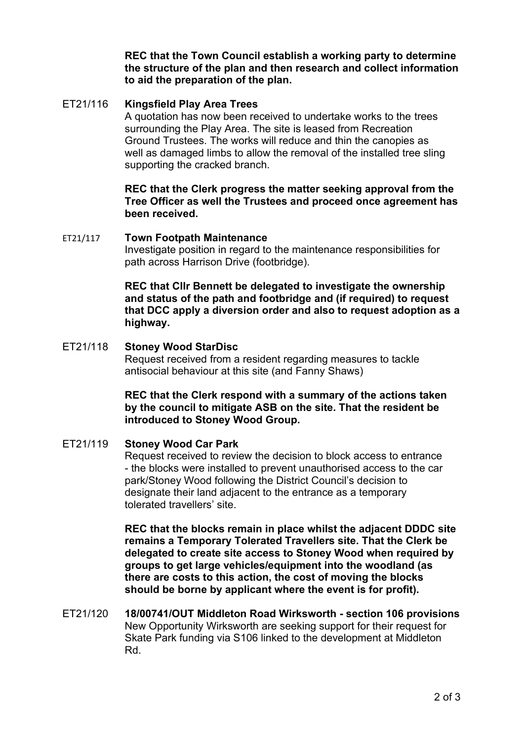**REC that the Town Council establish a working party to determine the structure of the plan and then research and collect information to aid the preparation of the plan.** 

## ET21/116 **Kingsfield Play Area Trees**

A quotation has now been received to undertake works to the trees surrounding the Play Area. The site is leased from Recreation Ground Trustees. The works will reduce and thin the canopies as well as damaged limbs to allow the removal of the installed tree sling supporting the cracked branch.

**REC that the Clerk progress the matter seeking approval from the Tree Officer as well the Trustees and proceed once agreement has been received.** 

### ET21/117 **Town Footpath Maintenance**

Investigate position in regard to the maintenance responsibilities for path across Harrison Drive (footbridge).

**REC that Cllr Bennett be delegated to investigate the ownership and status of the path and footbridge and (if required) to request that DCC apply a diversion order and also to request adoption as a highway.**

## ET21/118 **Stoney Wood StarDisc**

Request received from a resident regarding measures to tackle antisocial behaviour at this site (and Fanny Shaws)

**REC that the Clerk respond with a summary of the actions taken by the council to mitigate ASB on the site. That the resident be introduced to Stoney Wood Group.**

## ET21/119 **Stoney Wood Car Park**

Request received to review the decision to block access to entrance - the blocks were installed to prevent unauthorised access to the car park/Stoney Wood following the District Council's decision to designate their land adjacent to the entrance as a temporary tolerated travellers' site.

**REC that the blocks remain in place whilst the adjacent DDDC site remains a Temporary Tolerated Travellers site. That the Clerk be delegated to create site access to Stoney Wood when required by groups to get large vehicles/equipment into the woodland (as there are costs to this action, the cost of moving the blocks should be borne by applicant where the event is for profit).** 

ET21/120 **18/00741/OUT Middleton Road Wirksworth - section 106 provisions** New Opportunity Wirksworth are seeking support for their request for Skate Park funding via S106 linked to the development at Middleton Rd.